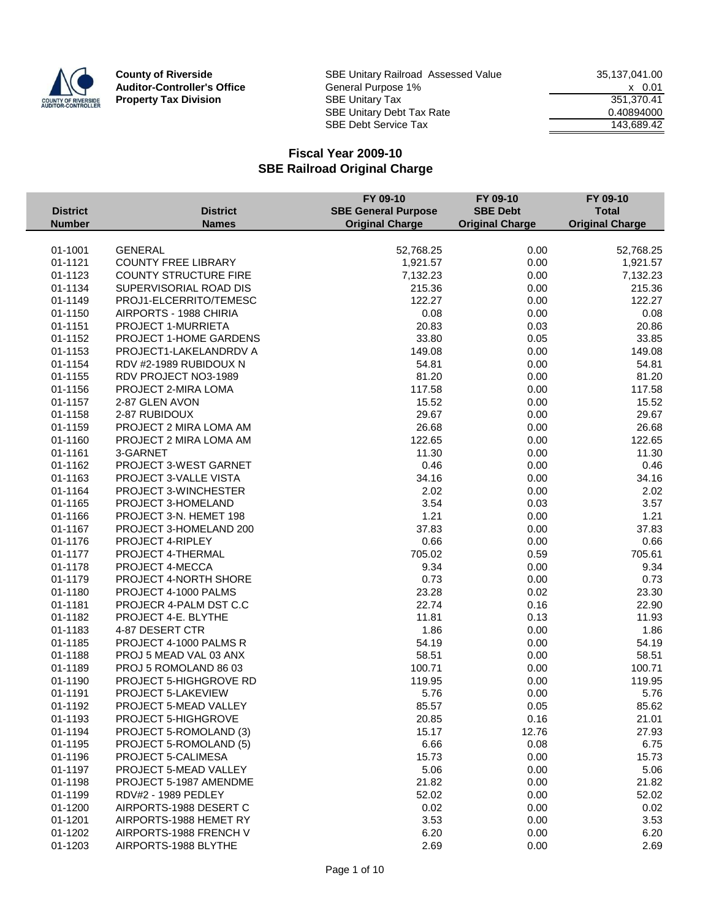

**County of Riverside** SBE Unitary Railroad Assessed Value 35,137,041.00<br>**Auditor-Controller's Office** General Purpose 1% **Auditor-Controller's Office** General Purpose 1% <br> **Property Tax Division** GBE Unitary Tax <br>
SISE Unitary Tax <br>
GBE Unitary Tax <br>
SIST, 370.41 **Property Tax Division** SBE Unitary Tax 351,370.41 SBE Unitary Debt Tax Rate 0.40894000 SBE Debt Service Tax 143,689.42

|                    |                              | FY 09-10                   | FY 09-10               | FY 09-10               |
|--------------------|------------------------------|----------------------------|------------------------|------------------------|
| <b>District</b>    | <b>District</b>              | <b>SBE General Purpose</b> | <b>SBE Debt</b>        | <b>Total</b>           |
| <b>Number</b>      | <b>Names</b>                 | <b>Original Charge</b>     | <b>Original Charge</b> | <b>Original Charge</b> |
|                    |                              |                            |                        |                        |
| 01-1001<br>01-1121 | <b>GENERAL</b>               | 52,768.25<br>1,921.57      | 0.00<br>0.00           | 52,768.25              |
|                    | <b>COUNTY FREE LIBRARY</b>   |                            |                        | 1,921.57               |
| 01-1123            | <b>COUNTY STRUCTURE FIRE</b> | 7,132.23                   | 0.00                   | 7,132.23               |
| 01-1134            | SUPERVISORIAL ROAD DIS       | 215.36                     | 0.00                   | 215.36                 |
| 01-1149            | PROJ1-ELCERRITO/TEMESC       | 122.27                     | 0.00                   | 122.27                 |
| 01-1150            | AIRPORTS - 1988 CHIRIA       | 0.08                       | 0.00                   | 0.08                   |
| 01-1151            | PROJECT 1-MURRIETA           | 20.83                      | 0.03                   | 20.86                  |
| 01-1152            | PROJECT 1-HOME GARDENS       | 33.80                      | 0.05                   | 33.85                  |
| 01-1153            | PROJECT1-LAKELANDRDV A       | 149.08                     | 0.00                   | 149.08                 |
| 01-1154            | RDV #2-1989 RUBIDOUX N       | 54.81                      | 0.00                   | 54.81                  |
| 01-1155            | RDV PROJECT NO3-1989         | 81.20                      | 0.00                   | 81.20                  |
| 01-1156            | PROJECT 2-MIRA LOMA          | 117.58                     | 0.00                   | 117.58                 |
| 01-1157            | 2-87 GLEN AVON               | 15.52                      | 0.00                   | 15.52                  |
| 01-1158            | 2-87 RUBIDOUX                | 29.67                      | 0.00                   | 29.67                  |
| 01-1159            | PROJECT 2 MIRA LOMA AM       | 26.68                      | 0.00                   | 26.68                  |
| 01-1160            | PROJECT 2 MIRA LOMA AM       | 122.65                     | 0.00                   | 122.65                 |
| 01-1161            | 3-GARNET                     | 11.30                      | 0.00                   | 11.30                  |
| 01-1162            | PROJECT 3-WEST GARNET        | 0.46                       | 0.00                   | 0.46                   |
| 01-1163            | PROJECT 3-VALLE VISTA        | 34.16                      | 0.00                   | 34.16                  |
| 01-1164            | PROJECT 3-WINCHESTER         | 2.02                       | 0.00                   | 2.02                   |
| 01-1165            | PROJECT 3-HOMELAND           | 3.54                       | 0.03                   | 3.57                   |
| 01-1166            | PROJECT 3-N. HEMET 198       | 1.21                       | 0.00                   | 1.21                   |
| 01-1167            | PROJECT 3-HOMELAND 200       | 37.83                      | 0.00                   | 37.83                  |
| 01-1176            | PROJECT 4-RIPLEY             | 0.66                       | 0.00                   | 0.66                   |
| 01-1177            | PROJECT 4-THERMAL            | 705.02                     | 0.59                   | 705.61                 |
| 01-1178            | PROJECT 4-MECCA              | 9.34                       | 0.00                   | 9.34                   |
| 01-1179            | PROJECT 4-NORTH SHORE        | 0.73                       | 0.00                   | 0.73                   |
| 01-1180            | PROJECT 4-1000 PALMS         | 23.28                      | 0.02                   | 23.30                  |
| 01-1181            | PROJECR 4-PALM DST C.C       | 22.74                      | 0.16                   | 22.90                  |
| 01-1182            | PROJECT 4-E. BLYTHE          | 11.81                      | 0.13                   | 11.93                  |
| 01-1183            | 4-87 DESERT CTR              | 1.86                       | 0.00                   | 1.86                   |
| 01-1185            | PROJECT 4-1000 PALMS R       | 54.19                      | 0.00                   | 54.19                  |
| 01-1188            | PROJ 5 MEAD VAL 03 ANX       | 58.51                      | 0.00                   | 58.51                  |
| 01-1189            | PROJ 5 ROMOLAND 86 03        | 100.71                     | 0.00                   | 100.71                 |
| 01-1190            | PROJECT 5-HIGHGROVE RD       | 119.95                     | 0.00                   | 119.95                 |
| 01-1191            | PROJECT 5-LAKEVIEW           | 5.76                       | 0.00                   | 5.76                   |
| 01-1192            | PROJECT 5-MEAD VALLEY        | 85.57                      | 0.05                   | 85.62                  |
| 01-1193            | PROJECT 5-HIGHGROVE          | 20.85                      | 0.16                   | 21.01                  |
| 01-1194            | PROJECT 5-ROMOLAND (3)       | 15.17                      | 12.76                  | 27.93                  |
| 01-1195            | PROJECT 5-ROMOLAND (5)       | 6.66                       | 0.08                   | 6.75                   |
| 01-1196            | <b>PROJECT 5-CALIMESA</b>    | 15.73                      | 0.00                   | 15.73                  |
| 01-1197            | PROJECT 5-MEAD VALLEY        | 5.06                       | 0.00                   | 5.06                   |
| 01-1198            | PROJECT 5-1987 AMENDME       | 21.82                      | 0.00                   | 21.82                  |
| 01-1199            | <b>RDV#2 - 1989 PEDLEY</b>   | 52.02                      | 0.00                   | 52.02                  |
| 01-1200            | AIRPORTS-1988 DESERT C       | 0.02                       | 0.00                   | 0.02                   |
| 01-1201            | AIRPORTS-1988 HEMET RY       | 3.53                       | 0.00                   | 3.53                   |
| 01-1202            | AIRPORTS-1988 FRENCH V       | 6.20                       | 0.00                   | 6.20                   |
| 01-1203            | AIRPORTS-1988 BLYTHE         | 2.69                       | 0.00                   | 2.69                   |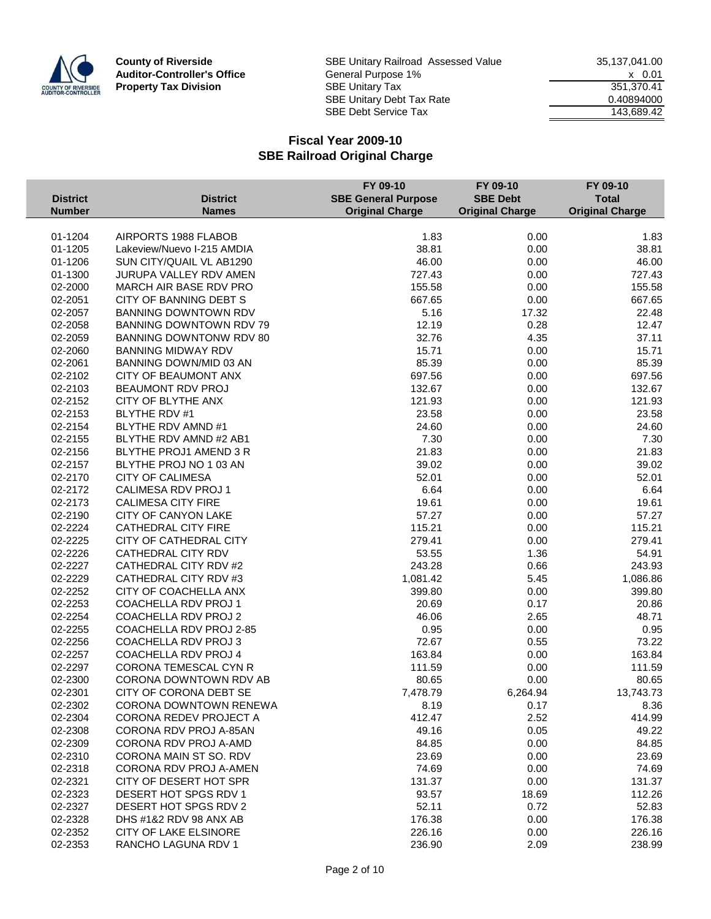

|                 |                             | FY 09-10                   | FY 09-10               | FY 09-10               |
|-----------------|-----------------------------|----------------------------|------------------------|------------------------|
| <b>District</b> | <b>District</b>             | <b>SBE General Purpose</b> | <b>SBE Debt</b>        | <b>Total</b>           |
| <b>Number</b>   | <b>Names</b>                | <b>Original Charge</b>     | <b>Original Charge</b> | <b>Original Charge</b> |
|                 |                             |                            |                        |                        |
| 01-1204         | AIRPORTS 1988 FLABOB        | 1.83                       | 0.00                   | 1.83                   |
| 01-1205         | Lakeview/Nuevo I-215 AMDIA  | 38.81                      | 0.00                   | 38.81                  |
| 01-1206         | SUN CITY/QUAIL VL AB1290    | 46.00                      | 0.00                   | 46.00                  |
| 01-1300         | JURUPA VALLEY RDV AMEN      | 727.43                     | 0.00                   | 727.43                 |
| 02-2000         | MARCH AIR BASE RDV PRO      | 155.58                     | 0.00                   | 155.58                 |
| 02-2051         | CITY OF BANNING DEBT S      | 667.65                     | 0.00                   | 667.65                 |
| 02-2057         | <b>BANNING DOWNTOWN RDV</b> | 5.16                       | 17.32                  | 22.48                  |
| 02-2058         | BANNING DOWNTOWN RDV 79     | 12.19                      | 0.28                   | 12.47                  |
| 02-2059         | BANNING DOWNTONW RDV 80     | 32.76                      | 4.35                   | 37.11                  |
| 02-2060         | <b>BANNING MIDWAY RDV</b>   | 15.71                      | 0.00                   | 15.71                  |
| 02-2061         | BANNING DOWN/MID 03 AN      | 85.39                      | 0.00                   | 85.39                  |
| 02-2102         | CITY OF BEAUMONT ANX        | 697.56                     | 0.00                   | 697.56                 |
| 02-2103         | BEAUMONT RDV PROJ           | 132.67                     | 0.00                   | 132.67                 |
| 02-2152         | CITY OF BLYTHE ANX          | 121.93                     | 0.00                   | 121.93                 |
| 02-2153         | BLYTHE RDV #1               | 23.58                      | 0.00                   | 23.58                  |
| 02-2154         | BLYTHE RDV AMND #1          | 24.60                      | 0.00                   | 24.60                  |
| 02-2155         | BLYTHE RDV AMND #2 AB1      | 7.30                       | 0.00                   | 7.30                   |
| 02-2156         | BLYTHE PROJ1 AMEND 3 R      | 21.83                      | 0.00                   | 21.83                  |
| 02-2157         | BLYTHE PROJ NO 1 03 AN      | 39.02                      | 0.00                   | 39.02                  |
| 02-2170         | <b>CITY OF CALIMESA</b>     | 52.01                      | 0.00                   | 52.01                  |
| 02-2172         | CALIMESA RDV PROJ 1         | 6.64                       | 0.00                   | 6.64                   |
| 02-2173         | <b>CALIMESA CITY FIRE</b>   | 19.61                      | 0.00                   | 19.61                  |
| 02-2190         | CITY OF CANYON LAKE         | 57.27                      | 0.00                   | 57.27                  |
| 02-2224         | CATHEDRAL CITY FIRE         | 115.21                     | 0.00                   | 115.21                 |
| 02-2225         | CITY OF CATHEDRAL CITY      | 279.41                     | 0.00                   | 279.41                 |
| 02-2226         | CATHEDRAL CITY RDV          | 53.55                      | 1.36                   | 54.91                  |
| 02-2227         | CATHEDRAL CITY RDV #2       | 243.28                     | 0.66                   | 243.93                 |
| 02-2229         | CATHEDRAL CITY RDV #3       | 1,081.42                   | 5.45                   | 1,086.86               |
| 02-2252         | CITY OF COACHELLA ANX       | 399.80                     | 0.00                   | 399.80                 |
| 02-2253         | COACHELLA RDV PROJ 1        | 20.69                      | 0.17                   | 20.86                  |
| 02-2254         | COACHELLA RDV PROJ 2        | 46.06                      | 2.65                   | 48.71                  |
| 02-2255         | COACHELLA RDV PROJ 2-85     | 0.95                       | 0.00                   | 0.95                   |
| 02-2256         | COACHELLA RDV PROJ 3        | 72.67                      | 0.55                   | 73.22                  |
| 02-2257         | COACHELLA RDV PROJ 4        | 163.84                     | 0.00                   | 163.84                 |
| 02-2297         | CORONA TEMESCAL CYN R       | 111.59                     | 0.00                   | 111.59                 |
| 02-2300         | CORONA DOWNTOWN RDV AB      | 80.65                      | 0.00                   | 80.65                  |
| 02-2301         | CITY OF CORONA DEBT SE      | 7,478.79                   | 6,264.94               | 13,743.73              |
| 02-2302         | CORONA DOWNTOWN RENEWA      | 8.19                       | 0.17                   | 8.36                   |
|                 | CORONA REDEV PROJECT A      |                            |                        |                        |
| 02-2304         |                             | 412.47                     | 2.52                   | 414.99                 |
| 02-2308         | CORONA RDV PROJ A-85AN      | 49.16                      | 0.05                   | 49.22                  |
| 02-2309         | CORONA RDV PROJ A-AMD       | 84.85                      | 0.00                   | 84.85                  |
| 02-2310         | CORONA MAIN ST SO. RDV      | 23.69                      | 0.00                   | 23.69                  |
| 02-2318         | CORONA RDV PROJ A-AMEN      | 74.69                      | 0.00                   | 74.69                  |
| 02-2321         | CITY OF DESERT HOT SPR      | 131.37                     | 0.00                   | 131.37                 |
| 02-2323         | DESERT HOT SPGS RDV 1       | 93.57                      | 18.69                  | 112.26                 |
| 02-2327         | DESERT HOT SPGS RDV 2       | 52.11                      | 0.72                   | 52.83                  |
| 02-2328         | DHS #1&2 RDV 98 ANX AB      | 176.38                     | 0.00                   | 176.38                 |
| 02-2352         | CITY OF LAKE ELSINORE       | 226.16                     | 0.00                   | 226.16                 |
| 02-2353         | RANCHO LAGUNA RDV 1         | 236.90                     | 2.09                   | 238.99                 |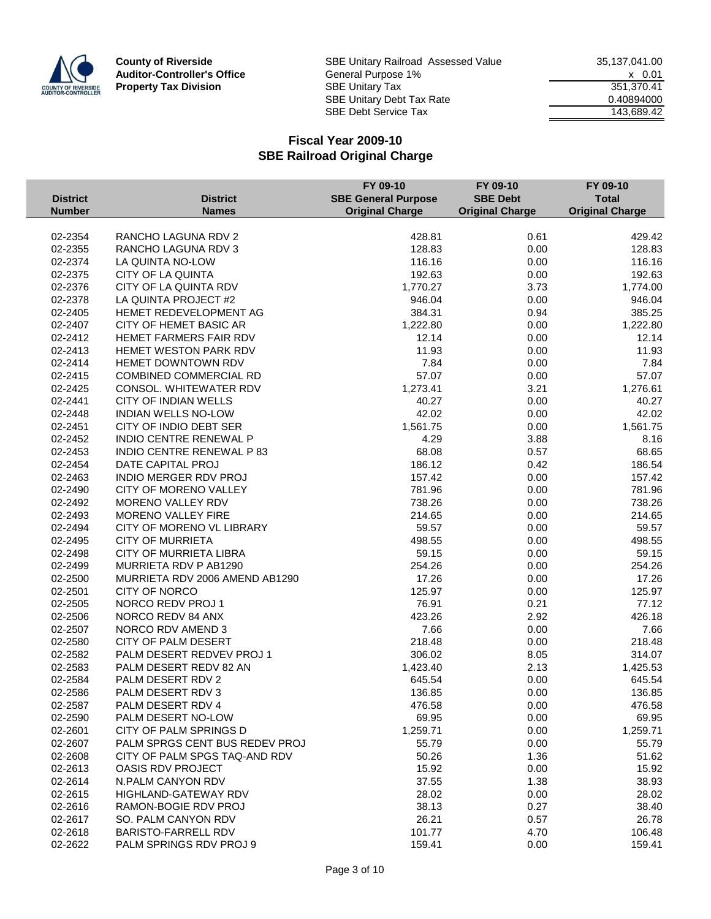

|                 |                                | FY 09-10                   | FY 09-10               | FY 09-10               |
|-----------------|--------------------------------|----------------------------|------------------------|------------------------|
| <b>District</b> | <b>District</b>                | <b>SBE General Purpose</b> | <b>SBE Debt</b>        | <b>Total</b>           |
| <b>Number</b>   | <b>Names</b>                   | <b>Original Charge</b>     | <b>Original Charge</b> | <b>Original Charge</b> |
|                 |                                |                            |                        |                        |
| 02-2354         | RANCHO LAGUNA RDV 2            | 428.81                     | 0.61                   | 429.42                 |
| 02-2355         | RANCHO LAGUNA RDV 3            | 128.83                     | 0.00                   | 128.83                 |
| 02-2374         | LA QUINTA NO-LOW               | 116.16                     | 0.00                   | 116.16                 |
| 02-2375         | CITY OF LA QUINTA              | 192.63                     | 0.00                   | 192.63                 |
| 02-2376         | CITY OF LA QUINTA RDV          | 1,770.27                   | 3.73                   | 1,774.00               |
| 02-2378         | LA QUINTA PROJECT #2           | 946.04                     | 0.00                   | 946.04                 |
| 02-2405         | HEMET REDEVELOPMENT AG         | 384.31                     | 0.94                   | 385.25                 |
| 02-2407         | CITY OF HEMET BASIC AR         | 1,222.80                   | 0.00                   | 1,222.80               |
| 02-2412         | HEMET FARMERS FAIR RDV         | 12.14                      | 0.00                   | 12.14                  |
| 02-2413         | HEMET WESTON PARK RDV          | 11.93                      | 0.00                   | 11.93                  |
| 02-2414         | HEMET DOWNTOWN RDV             | 7.84                       | 0.00                   | 7.84                   |
| 02-2415         | <b>COMBINED COMMERCIAL RD</b>  | 57.07                      | 0.00                   | 57.07                  |
| 02-2425         | CONSOL. WHITEWATER RDV         | 1,273.41                   | 3.21                   | 1,276.61               |
| 02-2441         | CITY OF INDIAN WELLS           | 40.27                      | 0.00                   | 40.27                  |
| 02-2448         | <b>INDIAN WELLS NO-LOW</b>     | 42.02                      | 0.00                   | 42.02                  |
| 02-2451         | CITY OF INDIO DEBT SER         | 1,561.75                   | 0.00                   | 1,561.75               |
| 02-2452         | INDIO CENTRE RENEWAL P         | 4.29                       | 3.88                   | 8.16                   |
| 02-2453         | INDIO CENTRE RENEWAL P 83      | 68.08                      | 0.57                   | 68.65                  |
| 02-2454         | DATE CAPITAL PROJ              | 186.12                     | 0.42                   | 186.54                 |
| 02-2463         | INDIO MERGER RDV PROJ          | 157.42                     | 0.00                   | 157.42                 |
| 02-2490         | CITY OF MORENO VALLEY          | 781.96                     | 0.00                   | 781.96                 |
| 02-2492         | MORENO VALLEY RDV              | 738.26                     | 0.00                   | 738.26                 |
| 02-2493         | MORENO VALLEY FIRE             | 214.65                     | 0.00                   | 214.65                 |
| 02-2494         | CITY OF MORENO VL LIBRARY      | 59.57                      | 0.00                   | 59.57                  |
| 02-2495         | <b>CITY OF MURRIETA</b>        | 498.55                     | 0.00                   | 498.55                 |
| 02-2498         | CITY OF MURRIETA LIBRA         | 59.15                      | 0.00                   | 59.15                  |
| 02-2499         | MURRIETA RDV P AB1290          | 254.26                     | 0.00                   | 254.26                 |
| 02-2500         | MURRIETA RDV 2006 AMEND AB1290 | 17.26                      | 0.00                   | 17.26                  |
| 02-2501         | CITY OF NORCO                  | 125.97                     | 0.00                   | 125.97                 |
| 02-2505         | NORCO REDV PROJ 1              | 76.91                      | 0.21                   | 77.12                  |
| 02-2506         | NORCO REDV 84 ANX              | 423.26                     | 2.92                   | 426.18                 |
| 02-2507         | NORCO RDV AMEND 3              | 7.66                       | 0.00                   | 7.66                   |
| 02-2580         | CITY OF PALM DESERT            | 218.48                     | 0.00                   | 218.48                 |
| 02-2582         | PALM DESERT REDVEV PROJ 1      | 306.02                     | 8.05                   | 314.07                 |
| 02-2583         | PALM DESERT REDV 82 AN         | 1,423.40                   | 2.13                   | 1,425.53               |
| 02-2584         | PALM DESERT RDV 2              | 645.54                     | 0.00                   | 645.54                 |
| 02-2586         | PALM DESERT RDV 3              | 136.85                     | 0.00                   | 136.85                 |
| 02-2587         | PALM DESERT RDV 4              | 476.58                     | 0.00                   | 476.58                 |
| 02-2590         | PALM DESERT NO-LOW             | 69.95                      | 0.00                   | 69.95                  |
| 02-2601         | CITY OF PALM SPRINGS D         | 1,259.71                   | 0.00                   | 1,259.71               |
| 02-2607         | PALM SPRGS CENT BUS REDEV PROJ | 55.79                      | 0.00                   | 55.79                  |
| 02-2608         | CITY OF PALM SPGS TAQ-AND RDV  | 50.26                      | 1.36                   | 51.62                  |
| 02-2613         | <b>OASIS RDV PROJECT</b>       | 15.92                      | 0.00                   | 15.92                  |
| 02-2614         | N.PALM CANYON RDV              | 37.55                      | 1.38                   | 38.93                  |
| 02-2615         | HIGHLAND-GATEWAY RDV           | 28.02                      | 0.00                   | 28.02                  |
| 02-2616         | RAMON-BOGIE RDV PROJ           | 38.13                      | 0.27                   | 38.40                  |
| 02-2617         | SO. PALM CANYON RDV            | 26.21                      | 0.57                   | 26.78                  |
| 02-2618         | <b>BARISTO-FARRELL RDV</b>     | 101.77                     | 4.70                   | 106.48                 |
|                 |                                | 159.41                     |                        | 159.41                 |
| 02-2622         | PALM SPRINGS RDV PROJ 9        |                            | 0.00                   |                        |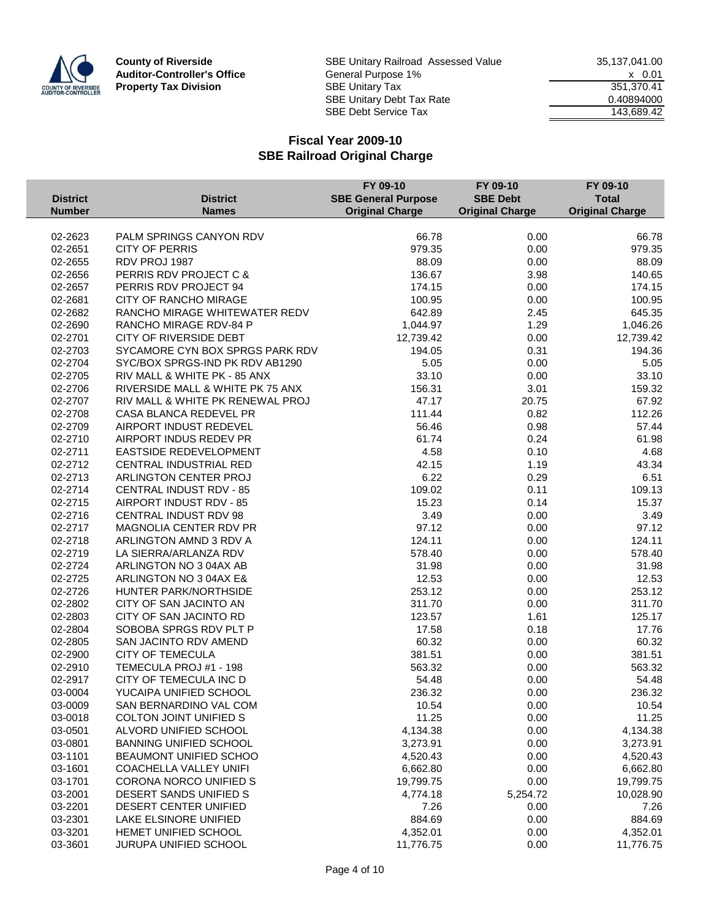

|                 |                                                  | FY 09-10                   | FY 09-10               | FY 09-10               |
|-----------------|--------------------------------------------------|----------------------------|------------------------|------------------------|
| <b>District</b> | <b>District</b>                                  | <b>SBE General Purpose</b> | <b>SBE Debt</b>        | <b>Total</b>           |
| <b>Number</b>   | <b>Names</b>                                     | <b>Original Charge</b>     | <b>Original Charge</b> | <b>Original Charge</b> |
|                 |                                                  |                            |                        |                        |
| 02-2623         | PALM SPRINGS CANYON RDV                          | 66.78                      | 0.00                   | 66.78                  |
| 02-2651         | <b>CITY OF PERRIS</b>                            | 979.35                     | 0.00                   | 979.35                 |
| 02-2655         | RDV PROJ 1987                                    | 88.09                      | 0.00                   | 88.09                  |
| 02-2656         | PERRIS RDV PROJECT C &                           | 136.67                     | 3.98                   | 140.65                 |
| 02-2657         | PERRIS RDV PROJECT 94                            | 174.15                     | 0.00                   | 174.15                 |
| 02-2681         | CITY OF RANCHO MIRAGE                            | 100.95                     | 0.00                   | 100.95                 |
| 02-2682         | RANCHO MIRAGE WHITEWATER REDV                    | 642.89                     | 2.45                   | 645.35                 |
| 02-2690         | RANCHO MIRAGE RDV-84 P                           | 1,044.97                   | 1.29                   | 1,046.26               |
| 02-2701         | CITY OF RIVERSIDE DEBT                           | 12,739.42                  | 0.00                   | 12,739.42              |
| 02-2703         | SYCAMORE CYN BOX SPRGS PARK RDV                  | 194.05                     | 0.31                   | 194.36                 |
| 02-2704         | SYC/BOX SPRGS-IND PK RDV AB1290                  | 5.05                       | 0.00                   | 5.05                   |
| 02-2705         | RIV MALL & WHITE PK - 85 ANX                     | 33.10                      | 0.00                   | 33.10                  |
| 02-2706         | RIVERSIDE MALL & WHITE PK 75 ANX                 | 156.31                     | 3.01                   | 159.32                 |
| 02-2707         | RIV MALL & WHITE PK RENEWAL PROJ                 | 47.17                      | 20.75                  | 67.92                  |
| 02-2708         | CASA BLANCA REDEVEL PR                           | 111.44                     | 0.82                   | 112.26                 |
| 02-2709         | AIRPORT INDUST REDEVEL                           | 56.46                      | 0.98                   | 57.44                  |
| 02-2710         | AIRPORT INDUS REDEV PR                           | 61.74                      | 0.24                   | 61.98                  |
| 02-2711         | EASTSIDE REDEVELOPMENT                           | 4.58                       | 0.10                   | 4.68                   |
| 02-2712         | CENTRAL INDUSTRIAL RED                           | 42.15                      | 1.19                   | 43.34                  |
| 02-2713         | ARLINGTON CENTER PROJ                            | 6.22                       | 0.29                   | 6.51                   |
| 02-2714         | <b>CENTRAL INDUST RDV - 85</b>                   | 109.02                     | 0.11                   | 109.13                 |
| 02-2715         | AIRPORT INDUST RDV - 85                          | 15.23                      | 0.14                   | 15.37                  |
| 02-2716         | CENTRAL INDUST RDV 98                            | 3.49                       | 0.00                   | 3.49                   |
| 02-2717         | MAGNOLIA CENTER RDV PR                           | 97.12                      | 0.00                   | 97.12                  |
| 02-2718         | ARLINGTON AMND 3 RDV A                           | 124.11                     | 0.00                   | 124.11                 |
| 02-2719         | LA SIERRA/ARLANZA RDV                            | 578.40                     | 0.00                   | 578.40                 |
| 02-2724         | ARLINGTON NO 3 04AX AB                           | 31.98                      | 0.00                   | 31.98                  |
| 02-2725         | ARLINGTON NO 3 04AX E&                           | 12.53                      | 0.00                   | 12.53                  |
| 02-2726         | HUNTER PARK/NORTHSIDE                            | 253.12                     | 0.00                   | 253.12                 |
| 02-2802         | CITY OF SAN JACINTO AN                           | 311.70                     | 0.00                   | 311.70                 |
| 02-2803         | CITY OF SAN JACINTO RD                           | 123.57                     | 1.61                   | 125.17                 |
| 02-2804         | SOBOBA SPRGS RDV PLT P                           | 17.58                      | 0.18                   | 17.76                  |
| 02-2805         | SAN JACINTO RDV AMEND                            | 60.32                      | 0.00                   | 60.32                  |
| 02-2900         | <b>CITY OF TEMECULA</b>                          | 381.51                     | 0.00                   | 381.51                 |
| 02-2910         | TEMECULA PROJ #1 - 198                           | 563.32                     | 0.00                   | 563.32                 |
|                 |                                                  |                            |                        |                        |
| 02-2917         | CITY OF TEMECULA INC D                           | 54.48                      | 0.00                   | 54.48<br>236.32        |
| 03-0004         | YUCAIPA UNIFIED SCHOOL<br>SAN BERNARDINO VAL COM | 236.32                     | 0.00                   |                        |
| 03-0009         |                                                  | 10.54                      | 0.00                   | 10.54                  |
| 03-0018         | <b>COLTON JOINT UNIFIED S</b>                    | 11.25                      | 0.00                   | 11.25                  |
| 03-0501         | ALVORD UNIFIED SCHOOL                            | 4,134.38                   | 0.00                   | 4,134.38               |
| 03-0801         | BANNING UNIFIED SCHOOL                           | 3,273.91                   | 0.00                   | 3,273.91               |
| 03-1101         | BEAUMONT UNIFIED SCHOO                           | 4,520.43                   | 0.00                   | 4,520.43               |
| 03-1601         | <b>COACHELLA VALLEY UNIFI</b>                    | 6,662.80                   | 0.00                   | 6,662.80               |
| 03-1701         | CORONA NORCO UNIFIED S                           | 19,799.75                  | 0.00                   | 19,799.75              |
| 03-2001         | DESERT SANDS UNIFIED S                           | 4,774.18                   | 5,254.72               | 10,028.90              |
| 03-2201         | DESERT CENTER UNIFIED                            | 7.26                       | 0.00                   | 7.26                   |
| 03-2301         | LAKE ELSINORE UNIFIED                            | 884.69                     | 0.00                   | 884.69                 |
| 03-3201         | HEMET UNIFIED SCHOOL                             | 4,352.01                   | 0.00                   | 4,352.01               |
| 03-3601         | JURUPA UNIFIED SCHOOL                            | 11,776.75                  | 0.00                   | 11,776.75              |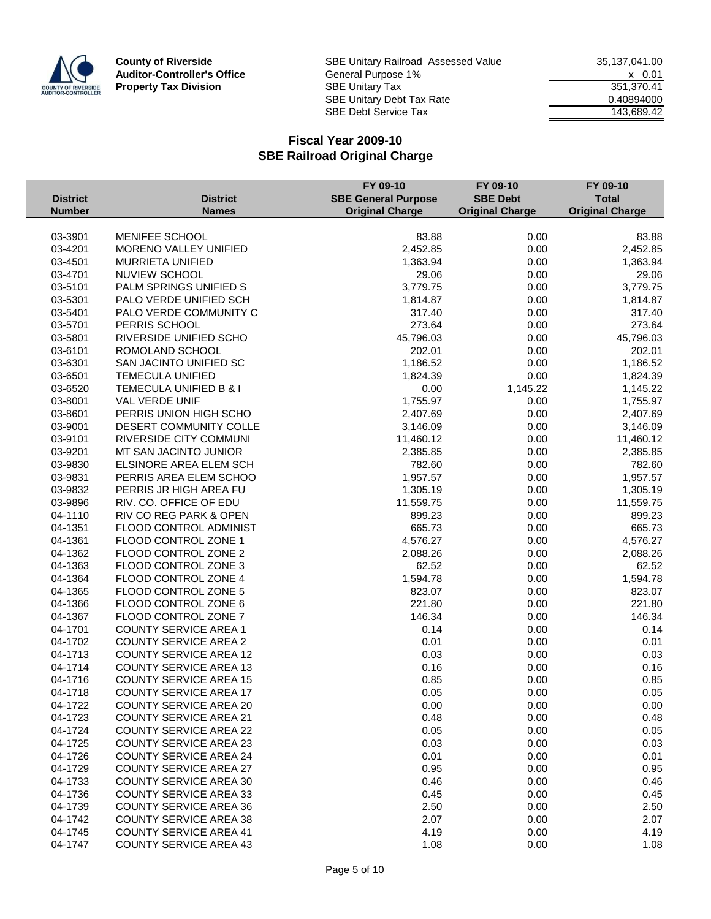

|                 |                               | FY 09-10                   | FY 09-10               | FY 09-10               |
|-----------------|-------------------------------|----------------------------|------------------------|------------------------|
| <b>District</b> | <b>District</b>               | <b>SBE General Purpose</b> | <b>SBE Debt</b>        | <b>Total</b>           |
| <b>Number</b>   | <b>Names</b>                  | <b>Original Charge</b>     | <b>Original Charge</b> | <b>Original Charge</b> |
|                 |                               |                            |                        |                        |
| 03-3901         | MENIFEE SCHOOL                | 83.88                      | 0.00                   | 83.88                  |
| 03-4201         | MORENO VALLEY UNIFIED         | 2,452.85                   | 0.00                   | 2,452.85               |
| 03-4501         | MURRIETA UNIFIED              | 1,363.94                   | 0.00                   | 1,363.94               |
| 03-4701         | <b>NUVIEW SCHOOL</b>          | 29.06                      | 0.00                   | 29.06                  |
| 03-5101         | PALM SPRINGS UNIFIED S        | 3,779.75                   | 0.00                   | 3,779.75               |
| 03-5301         | PALO VERDE UNIFIED SCH        | 1,814.87                   | 0.00                   | 1,814.87               |
| 03-5401         | PALO VERDE COMMUNITY C        | 317.40                     | 0.00                   | 317.40                 |
| 03-5701         | PERRIS SCHOOL                 | 273.64                     | 0.00                   | 273.64                 |
| 03-5801         | RIVERSIDE UNIFIED SCHO        | 45,796.03                  | 0.00                   | 45,796.03              |
| 03-6101         | ROMOLAND SCHOOL               | 202.01                     | 0.00                   | 202.01                 |
| 03-6301         | SAN JACINTO UNIFIED SC        | 1,186.52                   | 0.00                   | 1,186.52               |
| 03-6501         | <b>TEMECULA UNIFIED</b>       | 1,824.39                   | 0.00                   | 1,824.39               |
| 03-6520         | TEMECULA UNIFIED B & I        | 0.00                       | 1,145.22               | 1,145.22               |
| 03-8001         | VAL VERDE UNIF                | 1,755.97                   | 0.00                   | 1,755.97               |
| 03-8601         | PERRIS UNION HIGH SCHO        | 2,407.69                   | 0.00                   | 2,407.69               |
| 03-9001         | DESERT COMMUNITY COLLE        | 3,146.09                   | 0.00                   | 3,146.09               |
| 03-9101         | RIVERSIDE CITY COMMUNI        | 11,460.12                  | 0.00                   | 11,460.12              |
| 03-9201         | MT SAN JACINTO JUNIOR         | 2,385.85                   | 0.00                   | 2,385.85               |
| 03-9830         | ELSINORE AREA ELEM SCH        | 782.60                     | 0.00                   | 782.60                 |
| 03-9831         | PERRIS AREA ELEM SCHOO        | 1,957.57                   | 0.00                   | 1,957.57               |
| 03-9832         | PERRIS JR HIGH AREA FU        | 1,305.19                   | 0.00                   | 1,305.19               |
| 03-9896         | RIV. CO. OFFICE OF EDU        | 11,559.75                  | 0.00                   | 11,559.75              |
| 04-1110         | RIV CO REG PARK & OPEN        | 899.23                     | 0.00                   | 899.23                 |
| 04-1351         | FLOOD CONTROL ADMINIST        | 665.73                     | 0.00                   | 665.73                 |
| 04-1361         | FLOOD CONTROL ZONE 1          | 4,576.27                   | 0.00                   | 4,576.27               |
| 04-1362         | FLOOD CONTROL ZONE 2          | 2,088.26                   | 0.00                   | 2,088.26               |
| 04-1363         | FLOOD CONTROL ZONE 3          | 62.52                      | 0.00                   | 62.52                  |
| 04-1364         | FLOOD CONTROL ZONE 4          | 1,594.78                   | 0.00                   | 1,594.78               |
| 04-1365         | FLOOD CONTROL ZONE 5          | 823.07                     | 0.00                   | 823.07                 |
| 04-1366         | FLOOD CONTROL ZONE 6          | 221.80                     | 0.00                   | 221.80                 |
| 04-1367         | FLOOD CONTROL ZONE 7          | 146.34                     | 0.00                   | 146.34                 |
| 04-1701         | <b>COUNTY SERVICE AREA 1</b>  | 0.14                       | 0.00                   | 0.14                   |
| 04-1702         | <b>COUNTY SERVICE AREA 2</b>  | 0.01                       | 0.00                   | 0.01                   |
| 04-1713         | <b>COUNTY SERVICE AREA 12</b> | 0.03                       | 0.00                   | 0.03                   |
| 04-1714         | <b>COUNTY SERVICE AREA 13</b> | 0.16                       | 0.00                   | 0.16                   |
| 04-1716         | <b>COUNTY SERVICE AREA 15</b> | 0.85                       | 0.00                   | 0.85                   |
| 04-1718         | <b>COUNTY SERVICE AREA 17</b> | 0.05                       | 0.00                   | 0.05                   |
| 04-1722         | <b>COUNTY SERVICE AREA 20</b> | 0.00                       | 0.00                   | 0.00                   |
| 04-1723         | <b>COUNTY SERVICE AREA 21</b> | 0.48                       | 0.00                   | 0.48                   |
| 04-1724         | <b>COUNTY SERVICE AREA 22</b> | 0.05                       | 0.00                   | 0.05                   |
| 04-1725         | <b>COUNTY SERVICE AREA 23</b> | 0.03                       | 0.00                   | 0.03                   |
| 04-1726         | <b>COUNTY SERVICE AREA 24</b> | 0.01                       | 0.00                   | 0.01                   |
| 04-1729         | <b>COUNTY SERVICE AREA 27</b> | 0.95                       | 0.00                   | 0.95                   |
| 04-1733         | <b>COUNTY SERVICE AREA 30</b> | 0.46                       | 0.00                   | 0.46                   |
| 04-1736         | <b>COUNTY SERVICE AREA 33</b> | 0.45                       | 0.00                   | 0.45                   |
| 04-1739         | <b>COUNTY SERVICE AREA 36</b> | 2.50                       | 0.00                   | 2.50                   |
| 04-1742         | <b>COUNTY SERVICE AREA 38</b> | 2.07                       | 0.00                   | 2.07                   |
| 04-1745         | <b>COUNTY SERVICE AREA 41</b> | 4.19                       | 0.00                   | 4.19                   |
| 04-1747         | <b>COUNTY SERVICE AREA 43</b> | 1.08                       | 0.00                   | 1.08                   |
|                 |                               |                            |                        |                        |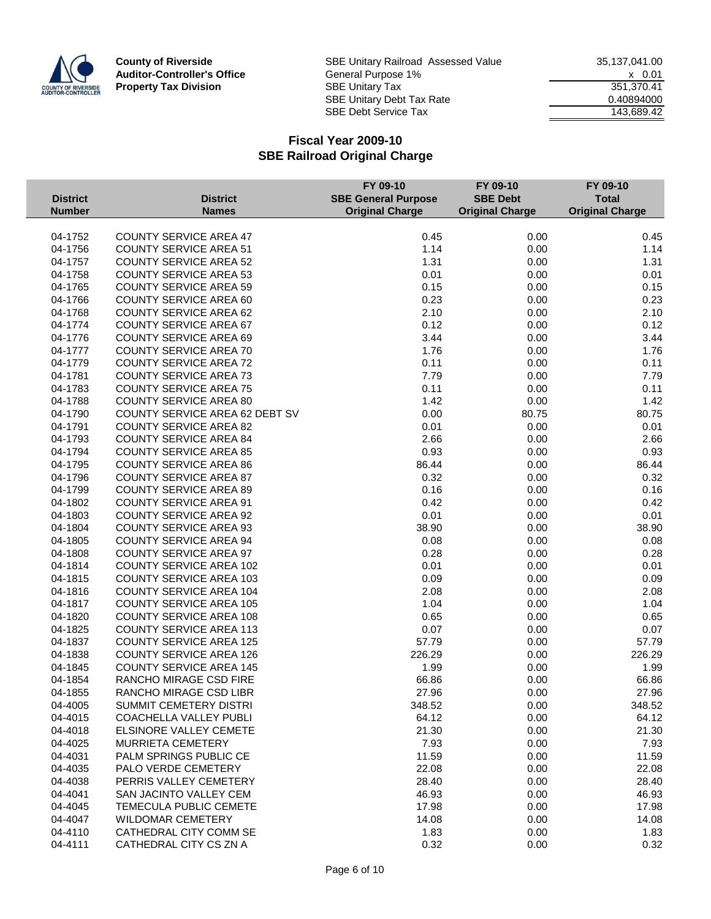

|                 |                                       | FY 09-10                   | FY 09-10               | FY 09-10               |
|-----------------|---------------------------------------|----------------------------|------------------------|------------------------|
| <b>District</b> | <b>District</b>                       | <b>SBE General Purpose</b> | <b>SBE Debt</b>        | <b>Total</b>           |
| <b>Number</b>   | <b>Names</b>                          | <b>Original Charge</b>     | <b>Original Charge</b> | <b>Original Charge</b> |
|                 |                                       |                            |                        |                        |
| 04-1752         | <b>COUNTY SERVICE AREA 47</b>         | 0.45                       | 0.00                   | 0.45                   |
| 04-1756         | <b>COUNTY SERVICE AREA 51</b>         | 1.14                       | 0.00                   | 1.14                   |
| 04-1757         | <b>COUNTY SERVICE AREA 52</b>         | 1.31                       | 0.00                   | 1.31                   |
| 04-1758         | <b>COUNTY SERVICE AREA 53</b>         | 0.01                       | 0.00                   | 0.01                   |
| 04-1765         | <b>COUNTY SERVICE AREA 59</b>         | 0.15                       | 0.00                   | 0.15                   |
| 04-1766         | <b>COUNTY SERVICE AREA 60</b>         | 0.23                       | 0.00                   | 0.23                   |
| 04-1768         | <b>COUNTY SERVICE AREA 62</b>         | 2.10                       | 0.00                   | 2.10                   |
| 04-1774         | <b>COUNTY SERVICE AREA 67</b>         | 0.12                       | 0.00                   | 0.12                   |
| 04-1776         | <b>COUNTY SERVICE AREA 69</b>         | 3.44                       | 0.00                   | 3.44                   |
| 04-1777         | <b>COUNTY SERVICE AREA 70</b>         | 1.76                       | 0.00                   | 1.76                   |
| 04-1779         | <b>COUNTY SERVICE AREA 72</b>         | 0.11                       | 0.00                   | 0.11                   |
| 04-1781         | <b>COUNTY SERVICE AREA 73</b>         | 7.79                       | 0.00                   | 7.79                   |
| 04-1783         | <b>COUNTY SERVICE AREA 75</b>         | 0.11                       | 0.00                   | 0.11                   |
| 04-1788         | <b>COUNTY SERVICE AREA 80</b>         | 1.42                       | 0.00                   | 1.42                   |
| 04-1790         | <b>COUNTY SERVICE AREA 62 DEBT SV</b> | 0.00                       | 80.75                  | 80.75                  |
| 04-1791         | <b>COUNTY SERVICE AREA 82</b>         | 0.01                       | 0.00                   | 0.01                   |
| 04-1793         | <b>COUNTY SERVICE AREA 84</b>         | 2.66                       | 0.00                   | 2.66                   |
| 04-1794         | <b>COUNTY SERVICE AREA 85</b>         | 0.93                       | 0.00                   | 0.93                   |
| 04-1795         | <b>COUNTY SERVICE AREA 86</b>         | 86.44                      | 0.00                   | 86.44                  |
| 04-1796         | <b>COUNTY SERVICE AREA 87</b>         | 0.32                       | 0.00                   | 0.32                   |
| 04-1799         | <b>COUNTY SERVICE AREA 89</b>         | 0.16                       | 0.00                   | 0.16                   |
| 04-1802         | <b>COUNTY SERVICE AREA 91</b>         | 0.42                       | 0.00                   | 0.42                   |
| 04-1803         | <b>COUNTY SERVICE AREA 92</b>         | 0.01                       | 0.00                   | 0.01                   |
| 04-1804         | <b>COUNTY SERVICE AREA 93</b>         | 38.90                      | 0.00                   | 38.90                  |
| 04-1805         | <b>COUNTY SERVICE AREA 94</b>         | 0.08                       | 0.00                   | 0.08                   |
| 04-1808         | <b>COUNTY SERVICE AREA 97</b>         | 0.28                       | 0.00                   | 0.28                   |
| 04-1814         | <b>COUNTY SERVICE AREA 102</b>        | 0.01                       | 0.00                   | 0.01                   |
| 04-1815         | <b>COUNTY SERVICE AREA 103</b>        | 0.09                       | 0.00                   | 0.09                   |
| 04-1816         | <b>COUNTY SERVICE AREA 104</b>        | 2.08                       | 0.00                   | 2.08                   |
| 04-1817         | <b>COUNTY SERVICE AREA 105</b>        | 1.04                       | 0.00                   | 1.04                   |
| 04-1820         | <b>COUNTY SERVICE AREA 108</b>        | 0.65                       | 0.00                   | 0.65                   |
| 04-1825         | <b>COUNTY SERVICE AREA 113</b>        | 0.07                       | 0.00                   | 0.07                   |
| 04-1837         | <b>COUNTY SERVICE AREA 125</b>        | 57.79                      | 0.00                   | 57.79                  |
| 04-1838         | <b>COUNTY SERVICE AREA 126</b>        | 226.29                     | 0.00                   | 226.29                 |
| 04-1845         | <b>COUNTY SERVICE AREA 145</b>        | 1.99                       | 0.00                   | 1.99                   |
| 04-1854         | RANCHO MIRAGE CSD FIRE                | 66.86                      | 0.00                   | 66.86                  |
| 04-1855         | RANCHO MIRAGE CSD LIBR                | 27.96                      | 0.00                   | 27.96                  |
| 04-4005         | SUMMIT CEMETERY DISTRI                | 348.52                     | 0.00                   | 348.52                 |
| 04-4015         | COACHELLA VALLEY PUBLI                | 64.12                      | 0.00                   | 64.12                  |
| 04-4018         | ELSINORE VALLEY CEMETE                | 21.30                      | 0.00                   | 21.30                  |
| 04-4025         | MURRIETA CEMETERY                     | 7.93                       | 0.00                   | 7.93                   |
| 04-4031         | PALM SPRINGS PUBLIC CE                | 11.59                      | 0.00                   | 11.59                  |
| 04-4035         | PALO VERDE CEMETERY                   | 22.08                      | 0.00                   | 22.08                  |
| 04-4038         | PERRIS VALLEY CEMETERY                | 28.40                      | 0.00                   | 28.40                  |
| 04-4041         | SAN JACINTO VALLEY CEM                | 46.93                      | 0.00                   | 46.93                  |
| 04-4045         | TEMECULA PUBLIC CEMETE                | 17.98                      | 0.00                   | 17.98                  |
| 04-4047         | <b>WILDOMAR CEMETERY</b>              | 14.08                      | 0.00                   | 14.08                  |
| 04-4110         | CATHEDRAL CITY COMM SE                | 1.83                       | 0.00                   | 1.83                   |
| 04-4111         | CATHEDRAL CITY CS ZN A                | 0.32                       | 0.00                   | 0.32                   |
|                 |                                       |                            |                        |                        |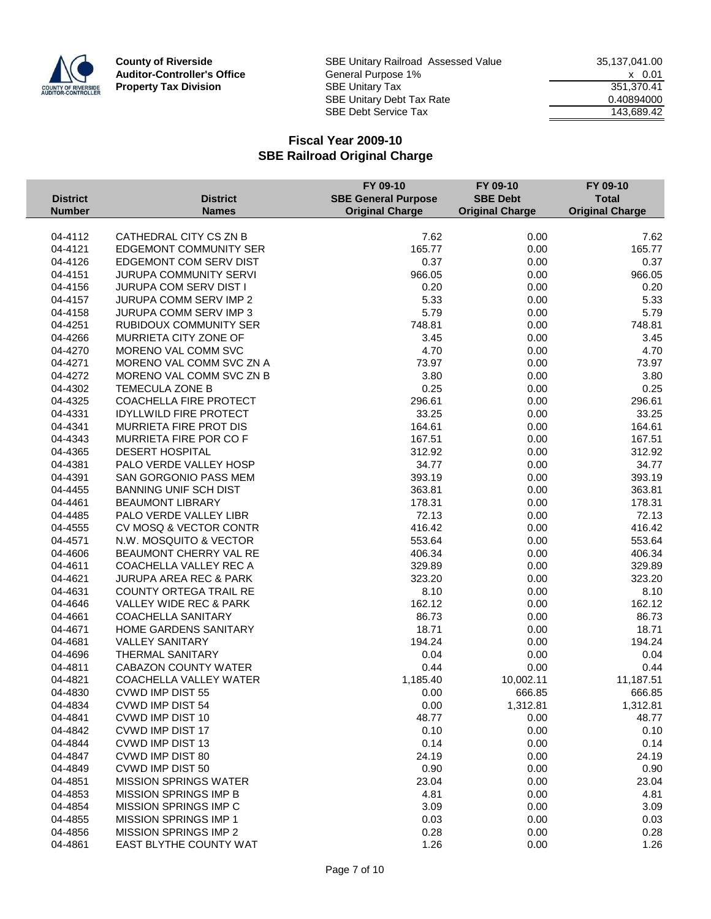

**County of Riverside** SBE Unitary Railroad Assessed Value 35,137,041.00<br>**Auditor-Controller's Office** General Purpose 1% 35,137,041.00 Auditor-Controller's Office **General Purpose 1%** X 0.01 Property Tax Division SBE Unitary Tax 351,370.41<br>SBE Unitary Debt Tax Rate 351,370.41 SBE Unitary Debt Tax Rate 6.40894000 SBE Debt Service Tax 143,689.42

|                 |                                   | FY 09-10                   | FY 09-10               | FY 09-10               |
|-----------------|-----------------------------------|----------------------------|------------------------|------------------------|
| <b>District</b> | <b>District</b>                   | <b>SBE General Purpose</b> | <b>SBE Debt</b>        | <b>Total</b>           |
| <b>Number</b>   | <b>Names</b>                      | <b>Original Charge</b>     | <b>Original Charge</b> | <b>Original Charge</b> |
|                 |                                   |                            |                        |                        |
| 04-4112         | CATHEDRAL CITY CS ZN B            | 7.62                       | 0.00                   | 7.62                   |
| 04-4121         | <b>EDGEMONT COMMUNITY SER</b>     | 165.77                     | 0.00                   | 165.77                 |
| 04-4126         | EDGEMONT COM SERV DIST            | 0.37                       | 0.00                   | 0.37                   |
| 04-4151         | JURUPA COMMUNITY SERVI            | 966.05                     | 0.00                   | 966.05                 |
| 04-4156         | JURUPA COM SERV DIST I            | 0.20                       | 0.00                   | 0.20                   |
| 04-4157         | <b>JURUPA COMM SERV IMP 2</b>     | 5.33                       | 0.00                   | 5.33                   |
| 04-4158         | JURUPA COMM SERV IMP 3            | 5.79                       | 0.00                   | 5.79                   |
| 04-4251         | <b>RUBIDOUX COMMUNITY SER</b>     | 748.81                     | 0.00                   | 748.81                 |
| 04-4266         | MURRIETA CITY ZONE OF             | 3.45                       | 0.00                   | 3.45                   |
| 04-4270         | MORENO VAL COMM SVC               | 4.70                       | 0.00                   | 4.70                   |
| 04-4271         | MORENO VAL COMM SVC ZN A          | 73.97                      | 0.00                   | 73.97                  |
| 04-4272         | MORENO VAL COMM SVC ZN B          | 3.80                       | 0.00                   | 3.80                   |
| 04-4302         | TEMECULA ZONE B                   | 0.25                       | 0.00                   | 0.25                   |
| 04-4325         | COACHELLA FIRE PROTECT            | 296.61                     | 0.00                   | 296.61                 |
| 04-4331         | <b>IDYLLWILD FIRE PROTECT</b>     | 33.25                      | 0.00                   | 33.25                  |
| 04-4341         | MURRIETA FIRE PROT DIS            | 164.61                     | 0.00                   | 164.61                 |
| 04-4343         | MURRIETA FIRE POR CO F            | 167.51                     | 0.00                   | 167.51                 |
| 04-4365         | <b>DESERT HOSPITAL</b>            | 312.92                     | 0.00                   | 312.92                 |
| 04-4381         | PALO VERDE VALLEY HOSP            | 34.77                      | 0.00                   | 34.77                  |
| 04-4391         | SAN GORGONIO PASS MEM             | 393.19                     | 0.00                   | 393.19                 |
| 04-4455         | <b>BANNING UNIF SCH DIST</b>      | 363.81                     | 0.00                   | 363.81                 |
| 04-4461         | <b>BEAUMONT LIBRARY</b>           | 178.31                     | 0.00                   | 178.31                 |
| 04-4485         | PALO VERDE VALLEY LIBR            | 72.13                      | 0.00                   | 72.13                  |
| 04-4555         | CV MOSQ & VECTOR CONTR            | 416.42                     | 0.00                   | 416.42                 |
| 04-4571         | N.W. MOSQUITO & VECTOR            | 553.64                     | 0.00                   | 553.64                 |
| 04-4606         | BEAUMONT CHERRY VAL RE            | 406.34                     | 0.00                   | 406.34                 |
| 04-4611         | COACHELLA VALLEY REC A            | 329.89                     | 0.00                   | 329.89                 |
| 04-4621         | <b>JURUPA AREA REC &amp; PARK</b> | 323.20                     | 0.00                   | 323.20                 |
| 04-4631         | COUNTY ORTEGA TRAIL RE            | 8.10                       | 0.00                   | 8.10                   |
| 04-4646         | VALLEY WIDE REC & PARK            | 162.12                     | 0.00                   | 162.12                 |
| 04-4661         | <b>COACHELLA SANITARY</b>         | 86.73                      | 0.00                   | 86.73                  |
| 04-4671         | HOME GARDENS SANITARY             | 18.71                      | 0.00                   | 18.71                  |
| 04-4681         | <b>VALLEY SANITARY</b>            | 194.24                     | 0.00                   | 194.24                 |
| 04-4696         | <b>THERMAL SANITARY</b>           | 0.04                       | 0.00                   | 0.04                   |
| 04-4811         | <b>CABAZON COUNTY WATER</b>       | 0.44                       | 0.00                   | 0.44                   |
| 04-4821         | COACHELLA VALLEY WATER            | 1,185.40                   | 10,002.11              | 11,187.51              |
| 04-4830         | <b>CVWD IMP DIST 55</b>           | 0.00                       | 666.85                 | 666.85                 |
| 04-4834         | <b>CVWD IMP DIST 54</b>           | 0.00                       | 1,312.81               | 1,312.81               |
| 04-4841         | CVWD IMP DIST 10                  | 48.77                      | 0.00                   | 48.77                  |
| 04-4842         | CVWD IMP DIST 17                  | 0.10                       | 0.00                   | 0.10                   |
| 04-4844         | CVWD IMP DIST 13                  | 0.14                       | 0.00                   | 0.14                   |
| 04-4847         | CVWD IMP DIST 80                  | 24.19                      | 0.00                   |                        |
|                 |                                   |                            |                        | 24.19                  |
| 04-4849         | CVWD IMP DIST 50                  | 0.90                       | 0.00                   | 0.90                   |
| 04-4851         | <b>MISSION SPRINGS WATER</b>      | 23.04                      | 0.00                   | 23.04                  |
| 04-4853         | MISSION SPRINGS IMP B             | 4.81                       | 0.00                   | 4.81                   |
| 04-4854         | MISSION SPRINGS IMP C             | 3.09                       | 0.00                   | 3.09                   |
| 04-4855         | MISSION SPRINGS IMP 1             | 0.03                       | 0.00                   | 0.03                   |
| 04-4856         | MISSION SPRINGS IMP 2             | 0.28                       | 0.00                   | 0.28                   |
| 04-4861         | EAST BLYTHE COUNTY WAT            | 1.26                       | 0.00                   | 1.26                   |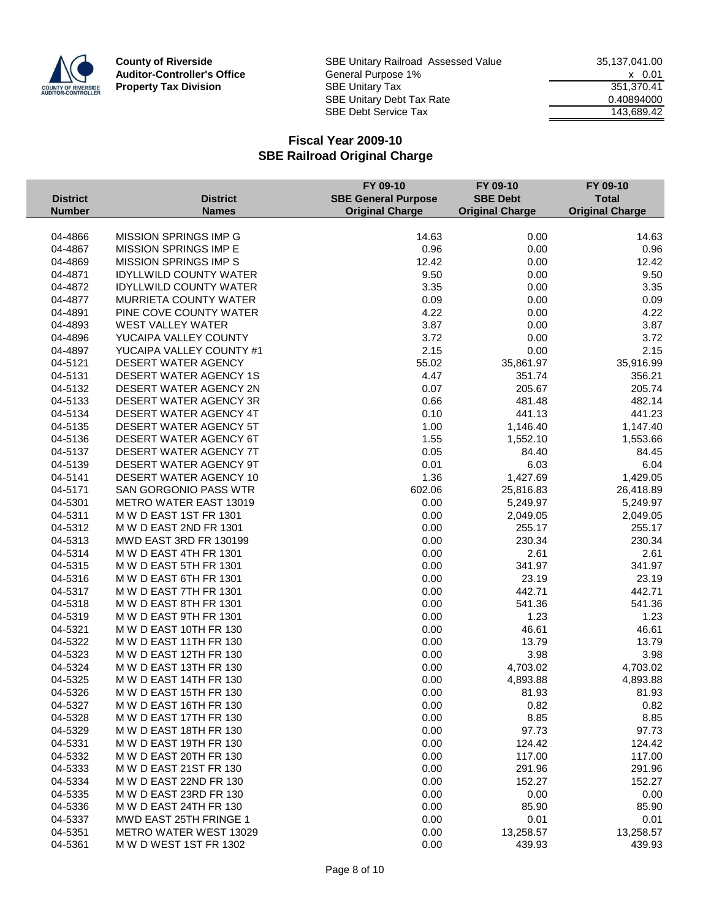

**County of Riverside** SBE Unitary Railroad Assessed Value 35,137,041.00<br>**Auditor-Controller's Office** General Purpose 1% 35,137,041.00 Auditor-Controller's Office **General Purpose 1%** X 0.01 Property Tax Division SBE Unitary Tax 351,370.41<br>SBE Unitary Debt Tax Rate 351,370.41 SBE Unitary Debt Tax Rate 6.40894000 SBE Debt Service Tax 143,689.42

|                 |                               | FY 09-10                   | FY 09-10               | FY 09-10               |
|-----------------|-------------------------------|----------------------------|------------------------|------------------------|
| <b>District</b> | <b>District</b>               | <b>SBE General Purpose</b> | <b>SBE Debt</b>        | <b>Total</b>           |
| <b>Number</b>   | <b>Names</b>                  | <b>Original Charge</b>     | <b>Original Charge</b> | <b>Original Charge</b> |
|                 |                               |                            |                        |                        |
| 04-4866         | <b>MISSION SPRINGS IMP G</b>  | 14.63                      | 0.00                   | 14.63                  |
| 04-4867         | MISSION SPRINGS IMP E         | 0.96                       | 0.00                   | 0.96                   |
| 04-4869         | <b>MISSION SPRINGS IMP S</b>  | 12.42                      | 0.00                   | 12.42                  |
| 04-4871         | <b>IDYLLWILD COUNTY WATER</b> | 9.50                       | 0.00                   | 9.50                   |
| 04-4872         | <b>IDYLLWILD COUNTY WATER</b> | 3.35                       | 0.00                   | 3.35                   |
| 04-4877         | MURRIETA COUNTY WATER         | 0.09                       | 0.00                   | 0.09                   |
| 04-4891         | PINE COVE COUNTY WATER        | 4.22                       | 0.00                   | 4.22                   |
| 04-4893         | <b>WEST VALLEY WATER</b>      | 3.87                       | 0.00                   | 3.87                   |
| 04-4896         | YUCAIPA VALLEY COUNTY         | 3.72                       | 0.00                   | 3.72                   |
| 04-4897         | YUCAIPA VALLEY COUNTY #1      | 2.15                       | 0.00                   | 2.15                   |
| 04-5121         | DESERT WATER AGENCY           | 55.02                      | 35,861.97              | 35,916.99              |
| 04-5131         | DESERT WATER AGENCY 1S        | 4.47                       | 351.74                 | 356.21                 |
| 04-5132         | DESERT WATER AGENCY 2N        | 0.07                       | 205.67                 | 205.74                 |
| 04-5133         | DESERT WATER AGENCY 3R        | 0.66                       | 481.48                 | 482.14                 |
| 04-5134         | DESERT WATER AGENCY 4T        | 0.10                       | 441.13                 | 441.23                 |
| 04-5135         | DESERT WATER AGENCY 5T        | 1.00                       | 1,146.40               | 1,147.40               |
| 04-5136         | DESERT WATER AGENCY 6T        | 1.55                       | 1,552.10               | 1,553.66               |
| 04-5137         | DESERT WATER AGENCY 7T        | 0.05                       | 84.40                  | 84.45                  |
| 04-5139         | DESERT WATER AGENCY 9T        | 0.01                       | 6.03                   | 6.04                   |
| 04-5141         | DESERT WATER AGENCY 10        | 1.36                       | 1,427.69               | 1,429.05               |
| 04-5171         | <b>SAN GORGONIO PASS WTR</b>  | 602.06                     | 25,816.83              | 26,418.89              |
| 04-5301         | <b>METRO WATER EAST 13019</b> | 0.00                       | 5,249.97               | 5,249.97               |
| 04-5311         | M W D EAST 1ST FR 1301        | 0.00                       | 2,049.05               | 2,049.05               |
| 04-5312         | M W D EAST 2ND FR 1301        | 0.00                       | 255.17                 | 255.17                 |
| 04-5313         | MWD EAST 3RD FR 130199        | 0.00                       | 230.34                 | 230.34                 |
| 04-5314         | M W D EAST 4TH FR 1301        | 0.00                       | 2.61                   | 2.61                   |
| 04-5315         | M W D EAST 5TH FR 1301        | 0.00                       | 341.97                 | 341.97                 |
| 04-5316         | M W D EAST 6TH FR 1301        | 0.00                       | 23.19                  | 23.19                  |
| 04-5317         | M W D EAST 7TH FR 1301        | 0.00                       | 442.71                 | 442.71                 |
| 04-5318         | M W D EAST 8TH FR 1301        | 0.00                       | 541.36                 | 541.36                 |
| 04-5319         | M W D EAST 9TH FR 1301        | 0.00                       | 1.23                   | 1.23                   |
| 04-5321         | M W D EAST 10TH FR 130        | 0.00                       | 46.61                  | 46.61                  |
| 04-5322         | M W D EAST 11TH FR 130        | 0.00                       | 13.79                  | 13.79                  |
| 04-5323         | M W D EAST 12TH FR 130        | 0.00                       | 3.98                   | 3.98                   |
| 04-5324         | M W D EAST 13TH FR 130        | 0.00                       | 4,703.02               | 4,703.02               |
| 04-5325         | M W D EAST 14TH FR 130        | 0.00                       | 4,893.88               | 4,893.88               |
| 04-5326         | M W D EAST 15TH FR 130        | 0.00                       | 81.93                  | 81.93                  |
| 04-5327         | M W D EAST 16TH FR 130        | 0.00                       | 0.82                   | 0.82                   |
| 04-5328         | M W D EAST 17TH FR 130        | 0.00                       | 8.85                   | 8.85                   |
| 04-5329         | M W D EAST 18TH FR 130        | 0.00                       | 97.73                  | 97.73                  |
| 04-5331         | M W D EAST 19TH FR 130        | 0.00                       | 124.42                 | 124.42                 |
| 04-5332         | M W D EAST 20TH FR 130        | 0.00                       | 117.00                 | 117.00                 |
| 04-5333         | M W D EAST 21ST FR 130        | 0.00                       | 291.96                 | 291.96                 |
| 04-5334         | M W D EAST 22ND FR 130        | 0.00                       | 152.27                 | 152.27                 |
| 04-5335         | M W D EAST 23RD FR 130        | 0.00                       | 0.00                   | 0.00                   |
| 04-5336         | M W D EAST 24TH FR 130        | 0.00                       | 85.90                  | 85.90                  |
| 04-5337         | MWD EAST 25TH FRINGE 1        | 0.00                       | 0.01                   | 0.01                   |
| 04-5351         | METRO WATER WEST 13029        | 0.00                       | 13,258.57              | 13,258.57              |
| 04-5361         | M W D WEST 1ST FR 1302        | 0.00                       | 439.93                 | 439.93                 |
|                 |                               |                            |                        |                        |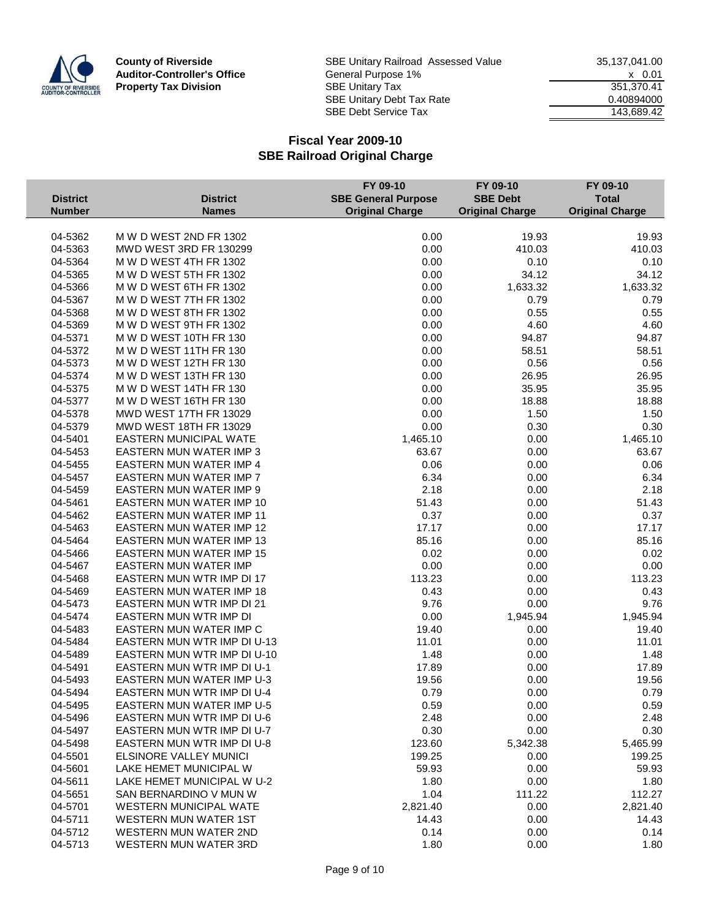

|                 |                                                      | FY 09-10                   | FY 09-10               | FY 09-10               |
|-----------------|------------------------------------------------------|----------------------------|------------------------|------------------------|
| <b>District</b> | <b>District</b>                                      | <b>SBE General Purpose</b> | <b>SBE Debt</b>        | <b>Total</b>           |
| <b>Number</b>   | <b>Names</b>                                         | <b>Original Charge</b>     | <b>Original Charge</b> | <b>Original Charge</b> |
|                 |                                                      |                            |                        |                        |
| 04-5362         | M W D WEST 2ND FR 1302                               | 0.00                       | 19.93                  | 19.93                  |
| 04-5363         | MWD WEST 3RD FR 130299                               | 0.00                       | 410.03                 | 410.03                 |
| 04-5364         | M W D WEST 4TH FR 1302                               | 0.00                       | 0.10                   | 0.10                   |
| 04-5365         | M W D WEST 5TH FR 1302                               | 0.00                       | 34.12                  | 34.12                  |
| 04-5366         | M W D WEST 6TH FR 1302                               | 0.00                       | 1,633.32               | 1,633.32               |
| 04-5367         | M W D WEST 7TH FR 1302                               | 0.00                       | 0.79                   | 0.79                   |
| 04-5368         | M W D WEST 8TH FR 1302                               | 0.00                       | 0.55                   | 0.55                   |
| 04-5369         | M W D WEST 9TH FR 1302                               | 0.00                       | 4.60                   | 4.60                   |
| 04-5371         | M W D WEST 10TH FR 130                               | 0.00                       | 94.87                  | 94.87                  |
| 04-5372         | M W D WEST 11TH FR 130                               | 0.00                       | 58.51                  | 58.51                  |
| 04-5373         | M W D WEST 12TH FR 130                               | 0.00                       | 0.56                   | 0.56                   |
| 04-5374         | M W D WEST 13TH FR 130                               | 0.00                       | 26.95                  | 26.95                  |
| 04-5375         | M W D WEST 14TH FR 130                               | 0.00                       | 35.95                  | 35.95                  |
| 04-5377         | M W D WEST 16TH FR 130                               | 0.00                       | 18.88                  | 18.88                  |
| 04-5378         | MWD WEST 17TH FR 13029                               | 0.00                       | 1.50                   | 1.50                   |
| 04-5379         | MWD WEST 18TH FR 13029                               | 0.00                       | 0.30                   | 0.30                   |
| 04-5401         | EASTERN MUNICIPAL WATE                               | 1,465.10                   | 0.00                   | 1,465.10               |
| 04-5453         | EASTERN MUN WATER IMP 3                              | 63.67                      | 0.00                   | 63.67                  |
| 04-5455         | EASTERN MUN WATER IMP 4                              | 0.06                       | 0.00                   | 0.06                   |
| 04-5457         | EASTERN MUN WATER IMP 7                              | 6.34                       | 0.00                   | 6.34                   |
| 04-5459         | EASTERN MUN WATER IMP 9                              | 2.18                       | 0.00                   | 2.18                   |
| 04-5461         | <b>EASTERN MUN WATER IMP 10</b>                      | 51.43                      | 0.00                   | 51.43                  |
| 04-5462         | <b>EASTERN MUN WATER IMP 11</b>                      | 0.37                       | 0.00                   | 0.37                   |
| 04-5463         | EASTERN MUN WATER IMP 12                             | 17.17                      | 0.00                   | 17.17                  |
| 04-5464         | EASTERN MUN WATER IMP 13                             | 85.16                      | 0.00                   | 85.16                  |
| 04-5466         | <b>EASTERN MUN WATER IMP 15</b>                      | 0.02                       | 0.00                   | 0.02                   |
| 04-5467         | EASTERN MUN WATER IMP                                | 0.00                       | 0.00                   | 0.00                   |
| 04-5468         | EASTERN MUN WTR IMP DI 17                            | 113.23                     | 0.00                   | 113.23                 |
| 04-5469         | <b>EASTERN MUN WATER IMP 18</b>                      | 0.43                       | 0.00                   | 0.43                   |
| 04-5473         | EASTERN MUN WTR IMP DI 21                            | 9.76                       | 0.00                   | 9.76                   |
| 04-5474         | EASTERN MUN WTR IMP DI                               | 0.00                       | 1,945.94               | 1,945.94               |
| 04-5483         | <b>EASTERN MUN WATER IMP C</b>                       | 19.40                      | 0.00                   | 19.40                  |
| 04-5484         | EASTERN MUN WTR IMP DI U-13                          | 11.01                      | 0.00                   | 11.01                  |
| 04-5489         | EASTERN MUN WTR IMP DI U-10                          | 1.48                       | 0.00                   | 1.48                   |
| 04-5491         | EASTERN MUN WTR IMP DI U-1                           | 17.89                      | 0.00                   | 17.89                  |
| 04-5493         | EASTERN MUN WATER IMP U-3                            | 19.56                      | 0.00                   | 19.56                  |
| 04-5494         | EASTERN MUN WTR IMP DI U-4                           | 0.79                       | 0.00                   | 0.79                   |
| 04-5495         | EASTERN MUN WATER IMP U-5                            | 0.59                       | 0.00                   | 0.59                   |
| 04-5496         | <b>EASTERN MUN WTR IMP DI U-6</b>                    | 2.48                       | 0.00                   | 2.48                   |
| 04-5497         | EASTERN MUN WTR IMP DI U-7                           | 0.30                       | 0.00                   | 0.30                   |
| 04-5498         | EASTERN MUN WTR IMP DI U-8                           | 123.60                     | 5,342.38               | 5,465.99               |
| 04-5501         | ELSINORE VALLEY MUNICI                               | 199.25                     | 0.00                   | 199.25                 |
| 04-5601         | LAKE HEMET MUNICIPAL W                               | 59.93                      | 0.00                   | 59.93                  |
|                 |                                                      |                            |                        |                        |
| 04-5611         | LAKE HEMET MUNICIPAL W U-2<br>SAN BERNARDINO V MUN W | 1.80                       | 0.00                   | 1.80<br>112.27         |
| 04-5651         |                                                      | 1.04                       | 111.22                 |                        |
| 04-5701         | WESTERN MUNICIPAL WATE                               | 2,821.40                   | 0.00                   | 2,821.40               |
| 04-5711         | <b>WESTERN MUN WATER 1ST</b>                         | 14.43                      | 0.00                   | 14.43                  |
| 04-5712         | WESTERN MUN WATER 2ND                                | 0.14                       | 0.00                   | 0.14                   |
| 04-5713         | WESTERN MUN WATER 3RD                                | 1.80                       | 0.00                   | 1.80                   |